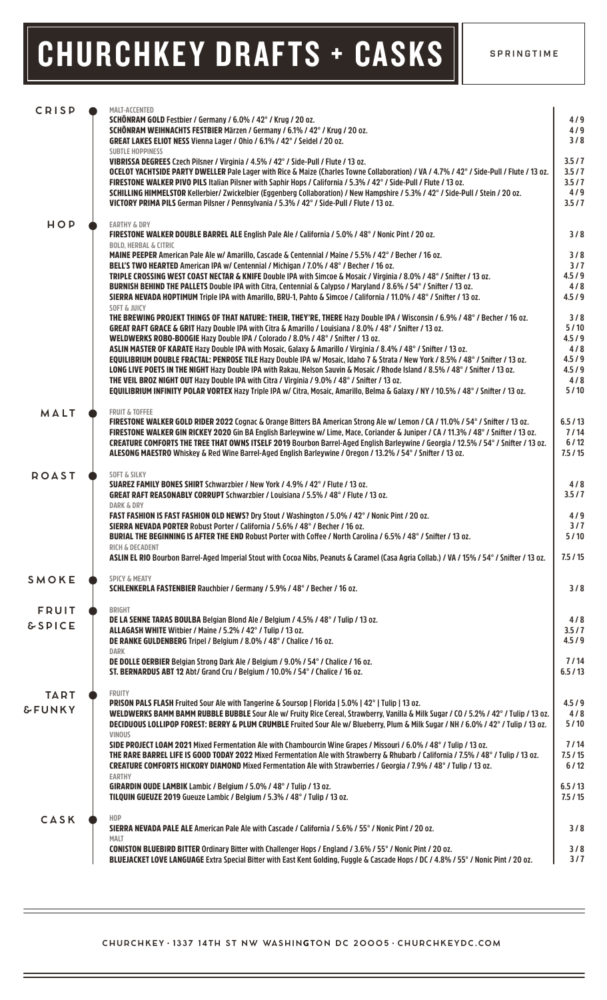# CHURCHKEY DRAFTS + CASKS | SPRINGTIME

| <b>CRISP</b>      | MALT-ACCENTED<br>SCHÖNRAM GOLD Festbier / Germany / 6.0% / 42° / Krug / 20 oz.                                                                                                                                                                                        | 4/9            |
|-------------------|-----------------------------------------------------------------------------------------------------------------------------------------------------------------------------------------------------------------------------------------------------------------------|----------------|
|                   | SCHÖNRAM WEIHNACHTS FESTBIER Märzen / Germany / 6.1% / 42° / Krug / 20 oz.                                                                                                                                                                                            | 4/9            |
|                   | GREAT LAKES ELIOT NESS Vienna Lager / Ohio / 6.1% / 42° / Seidel / 20 oz.                                                                                                                                                                                             | 3/8            |
|                   | <b>SUBTLE HOPPINESS</b><br>VIBRISSA DEGREES Czech Pilsner / Virginia / 4.5% / 42° / Side-Pull / Flute / 13 oz.                                                                                                                                                        | 3.5/7          |
|                   | OCELOT YACHTSIDE PARTY DWELLER Pale Lager with Rice & Maize (Charles Towne Collaboration) / VA / 4.7% / 42° / Side-Pull / Flute / 13 oz.                                                                                                                              | 3.5/7          |
|                   | FIRESTONE WALKER PIVO PILS Italian Pilsner with Saphir Hops / California / 5.3% / 42° / Side-Pull / Flute / 13 oz.                                                                                                                                                    | 3.5/7          |
|                   | SCHILLING HIMMELSTOR Kellerbier/ Zwickelbier (Eggenberg Collaboration) / New Hampshire / 5.3% / 42° / Side-Pull / Stein / 20 oz.                                                                                                                                      | 4/9            |
|                   | VICTORY PRIMA PILS German Pilsner / Pennsylvania / 5.3% / 42° / Side-Pull / Flute / 13 oz.                                                                                                                                                                            | 3.5/7          |
| HOP               | <b>EARTHY &amp; DRY</b><br>FIRESTONE WALKER DOUBLE BARREL ALE English Pale Ale / California / 5.0% / 48° / Nonic Pint / 20 oz.                                                                                                                                        | 3/8            |
|                   | <b>BOLD, HERBAL &amp; CITRIC</b>                                                                                                                                                                                                                                      | 3/8            |
|                   | MAINE PEEPER American Pale Ale w/ Amarillo, Cascade & Centennial / Maine / 5.5% / 42° / Becher / 16 oz.<br>BELL'S TWO HEARTED American IPA w/ Centennial / Michigan / 7.0% / 48° / Becher / 16 oz.                                                                    | 3/7            |
|                   | TRIPLE CROSSING WEST COAST NECTAR & KNIFE Double IPA with Simcoe & Mosaic / Virginia / 8.0% / 48° / Snifter / 13 oz.                                                                                                                                                  | 4.5/9          |
|                   | BURNISH BEHIND THE PALLETS Double IPA with Citra, Centennial & Calypso / Maryland / 8.6% / 54° / Snifter / 13 oz.                                                                                                                                                     | 4/8            |
|                   | SIERRA NEVADA HOPTIMUM Triple IPA with Amarillo, BRU-1, Pahto & Simcoe / California / 11.0% / 48° / Snifter / 13 oz.<br><b>SOFT &amp; JUICY</b>                                                                                                                       | 4.5/9          |
|                   | THE BREWING PROJEKT THINGS OF THAT NATURE: THEIR, THEY'RE, THERE Hazy Double IPA / Wisconsin / 6.9% / 48° / Becher / 16 oz.                                                                                                                                           | 3/8            |
|                   | GREAT RAFT GRACE & GRIT Hazy Double IPA with Citra & Amarillo / Louisiana / 8.0% / 48° / Snifter / 13 oz.                                                                                                                                                             | 5/10           |
|                   | WELDWERKS ROBO-BOOGIE Hazy Double IPA / Colorado / 8.0% / 48° / Snifter / 13 oz.<br>ASLIN MASTER OF KARATE Hazy Double IPA with Mosaic, Galaxy & Amarillo / Virginia / 8.4% / 48° / Snifter / 13 oz.                                                                  | 4.5/9<br>4/8   |
|                   | EQUILIBRIUM DOUBLE FRACTAL: PENROSE TILE Hazy Double IPA w/ Mosaic, Idaho 7 & Strata / New York / 8.5% / 48° / Snifter / 13 oz.                                                                                                                                       | 4.5/9          |
|                   | LONG LIVE POETS IN THE NIGHT Hazy Double IPA with Rakau, Nelson Sauvin & Mosaic / Rhode Island / 8.5% / 48° / Snifter / 13 oz.                                                                                                                                        | 4.5/9          |
|                   | THE VEIL BROZ NIGHT OUT Hazy Double IPA with Citra / Virginia / 9.0% / 48° / Snifter / 13 oz.                                                                                                                                                                         | 4/8            |
|                   | EQUILIBRIUM INFINITY POLAR VORTEX Hazy Triple IPA w/ Citra, Mosaic, Amarillo, Belma & Galaxy / NY / 10.5% / 48° / Snifter / 13 oz.                                                                                                                                    | 5/10           |
| MALT              | <b>FRUIT &amp; TOFFEE</b>                                                                                                                                                                                                                                             | 6.5/13         |
|                   | FIRESTONE WALKER GOLD RIDER 2022 Cognac & Orange Bitters BA American Strong Ale w/ Lemon / CA / 11.0% / 54° / Snifter / 13 oz.<br>FIRESTONE WALKER GIN RICKEY 2020 Gin BA English Barleywine w/ Lime, Mace, Coriander & Juniper / CA / 11.3% / 48° / Snifter / 13 oz. | 7/14           |
|                   | CREATURE COMFORTS THE TREE THAT OWNS ITSELF 2019 Bourbon Barrel-Aged English Barleywine / Georgia / 12.5% / 54° / Snifter / 13 oz.                                                                                                                                    | $6/12$         |
|                   | ALESONG MAESTRO Whiskey & Red Wine Barrel-Aged English Barleywine / Oregon / 13.2% / 54° / Snifter / 13 oz.                                                                                                                                                           | 7.5/15         |
| <b>ROAST</b>      | <b>SOFT &amp; SILKY</b><br>SUAREZ FAMILY BONES SHIRT Schwarzbier / New York / 4.9% / 42° / Flute / 13 oz.                                                                                                                                                             |                |
|                   | GREAT RAFT REASONABLY CORRUPT Schwarzbier / Louisiana / 5.5% / 48° / Flute / 13 oz.                                                                                                                                                                                   | 4/8<br>3.5/7   |
|                   | <b>DARK &amp; DRY</b>                                                                                                                                                                                                                                                 |                |
|                   | FAST FASHION IS FAST FASHION OLD NEWS? Dry Stout / Washington / 5.0% / 42° / Nonic Pint / 20 oz.                                                                                                                                                                      | 4/9            |
|                   | SIERRA NEVADA PORTER Robust Porter / California / 5.6% / 48° / Becher / 16 oz.                                                                                                                                                                                        | 3/7            |
|                   | BURIAL THE BEGINNING IS AFTER THE END Robust Porter with Coffee / North Carolina / 6.5% / 48° / Snifter / 13 oz.<br>RICH & DECADENT                                                                                                                                   | 5/10           |
|                   | ASLIN EL RIO Bourbon Barrel-Aged Imperial Stout with Cocoa Nibs. Peanuts & Caramel (Casa Agria Collab.) / VA / 15% / 54° / Snifter / 13 oz.                                                                                                                           | 7.5/15         |
| SMOKE             | <b>SPICY &amp; MEATY</b>                                                                                                                                                                                                                                              |                |
|                   | SCHLENKERLA FASTENBIER Rauchbier / Germany / 5.9% / 48° / Becher / 16 oz.                                                                                                                                                                                             | 3/8            |
| <b>FRUIT</b>      | <b>BRIGHT</b>                                                                                                                                                                                                                                                         |                |
| <b>&amp;SPICE</b> | DE LA SENNE TARAS BOULBA Belgian Blond Ale / Belgium / 4.5% / 48° / Tulip / 13 oz.<br>ALLAGASH WHITE Witbier / Maine / 5.2% / 42° / Tulip / 13 oz.                                                                                                                    | 4/8<br>3.5/7   |
|                   | DE RANKE GULDENBERG Tripel / Belgium / 8.0% / 48° / Chalice / 16 oz.                                                                                                                                                                                                  | 4.5/9          |
|                   | DARK                                                                                                                                                                                                                                                                  |                |
|                   | DE DOLLE OERBIER Belgian Strong Dark Ale / Belgium / 9.0% / 54° / Chalice / 16 oz.<br>ST. BERNARDUS ABT 12 Abt/ Grand Cru / Belgium / 10.0% / 54° / Chalice / 16 oz.                                                                                                  | 7/14<br>6.5/13 |
| <b>TART</b>       | <b>FRUITY</b>                                                                                                                                                                                                                                                         |                |
|                   | PRISON PALS FLASH Fruited Sour Ale with Tangerine & Soursop   Florida   5.0%   42°   Tulip   13 oz.                                                                                                                                                                   | 4.5/9          |
| <b>&amp;FUNKY</b> | WELDWERKS BAMM BAMM RUBBLE BUBBLE Sour Ale w/ Fruity Rice Cereal, Strawberry, Vanilla & Milk Sugar / CO / 5.2% / 42° / Tulip / 13 oz.                                                                                                                                 | 4/8            |
|                   | DECIDUOUS LOLLIPOP FOREST: BERRY & PLUM CRUMBLE Fruited Sour Ale w/ Blueberry, Plum & Milk Sugar / NH / 6.0% / 42° / Tulip / 13 oz.<br><b>VINOUS</b>                                                                                                                  | 5/10           |
|                   | SIDE PROJECT LOAM 2021 Mixed Fermentation Ale with Chambourcin Wine Grapes / Missouri / 6.0% / 48° / Tulip / 13 oz.                                                                                                                                                   | 7/14           |
|                   | THE RARE BARREL LIFE IS GOOD TODAY 2022 Mixed Fermentation Ale with Strawberry & Rhubarb / California / 7.5% / 48° / Tulip / 13 oz.                                                                                                                                   | 7.5/15         |
|                   | CREATURE COMFORTS HICKORY DIAMOND Mixed Fermentation Ale with Strawberries / Georgia / 7.9% / 48° / Tulip / 13 oz.<br><b>EARTHY</b>                                                                                                                                   | $6/12$         |
|                   | GIRARDIN OUDE LAMBIK Lambic / Belgium / 5.0% / 48° / Tulip / 13 oz.                                                                                                                                                                                                   | 6.5/13         |
|                   | TILQUIN GUEUZE 2019 Gueuze Lambic / Belgium / 5.3% / 48° / Tulip / 13 oz.                                                                                                                                                                                             | 7.5/15         |
| CASK              | H <sub>O</sub> P                                                                                                                                                                                                                                                      |                |
|                   | SIERRA NEVADA PALE ALE American Pale Ale with Cascade / California / 5.6% / 55° / Nonic Pint / 20 oz.<br><b>MALT</b>                                                                                                                                                  | 3/8            |
|                   | CONISTON BLUEBIRD BITTER Ordinary Bitter with Challenger Hops / England / 3.6% / 55° / Nonic Pint / 20 oz.                                                                                                                                                            | 3/8            |
|                   | BLUEJACKET LOVE LANGUAGE Extra Special Bitter with East Kent Golding, Fuggle & Cascade Hops / DC / 4.8% / 55° / Nonic Pint / 20 oz.                                                                                                                                   | 3/7            |
|                   |                                                                                                                                                                                                                                                                       |                |

#### **CHURCHKEY 1337 14TH ST NW WASHINGTON DC 2OOO5 CHURCHKEYDC.COM**